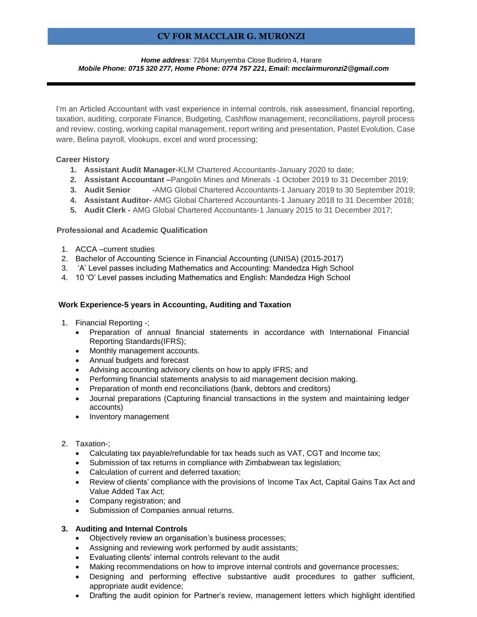# **CV FOR MACCLAIR G. MURONZI**

#### *Home address*: 7284 Munyemba Close Budiriro 4, Harare *Mobile Phone: 0715 320 277, Home Phone: 0774 757 221, Email[: mcclairmuronzi2@gmail.com](mailto:mcclairmuronzi2@gmail.com)*

I'm an Articled Accountant with vast experience in internal controls, risk assessment, financial reporting, taxation, auditing, corporate Finance, Budgeting, Cashflow management, reconciliations, payroll process and review, costing, working capital management, report writing and presentation, Pastel Evolution, Case ware, Belina payroll, vlookups, excel and word processing;

### **Career History**

- **1. Assistant Audit Manager-**KLM Chartered Accountants-January 2020 to date;
- **2. Assistant Accountant –**Pangolin Mines and Minerals -1 October 2019 to 31 December 2019;
- **3. Audit Senior -**AMG Global Chartered Accountants-1 January 2019 to 30 September 2019;
- **4. Assistant Auditor-** AMG Global Chartered Accountants-1 January 2018 to 31 December 2018;
- **5. Audit Clerk -** AMG Global Chartered Accountants-1 January 2015 to 31 December 2017;

#### **Professional and Academic Qualification**

- 1. ACCA –current studies
- 2. Bachelor of Accounting Science in Financial Accounting (UNISA) (2015-2017)
- 3. 'A' Level passes including Mathematics and Accounting: Mandedza High School
- 4. 10 'O' Level passes including Mathematics and English: Mandedza High School

#### **Work Experience-5 years in Accounting, Auditing and Taxation**

- 1. Financial Reporting -;
	- Preparation of annual financial statements in accordance with International Financial Reporting Standards(IFRS);
	- Monthly management accounts.
	- Annual budgets and forecast
	- Advising accounting advisory clients on how to apply IFRS; and
	- Performing financial statements analysis to aid management decision making.
	- Preparation of month end reconciliations (bank, debtors and creditors)
	- Journal preparations (Capturing financial transactions in the system and maintaining ledger accounts)
	- Inventory management
- 2. Taxation-;
	- Calculating tax payable/refundable for tax heads such as VAT, CGT and Income tax;
	- Submission of tax returns in compliance with Zimbabwean tax legislation;
	- Calculation of current and deferred taxation;
	- Review of clients' compliance with the provisions of Income Tax Act, Capital Gains Tax Act and Value Added Tax Act;
	- Company registration; and
	- Submission of Companies annual returns.

#### **3. Auditing and Internal Controls**

- Objectively review an organisation's business processes;
- Assigning and reviewing work performed by audit assistants;
- Evaluating clients' internal controls relevant to the audit
- Making recommendations on how to improve internal controls and governance processes;
- Designing and performing effective substantive audit procedures to gather sufficient, appropriate audit evidence;
- Drafting the audit opinion for Partner's review, management letters which highlight identified